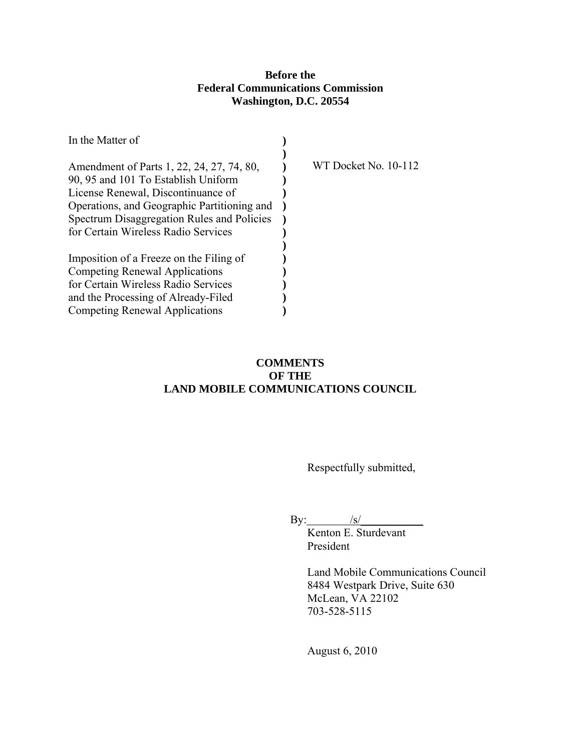# **Before the Federal Communications Commission Washington, D.C. 20554**

| In the Matter of                            |                             |
|---------------------------------------------|-----------------------------|
|                                             |                             |
| Amendment of Parts 1, 22, 24, 27, 74, 80,   | <b>WT Docket No. 10-112</b> |
| 90, 95 and 101 To Establish Uniform         |                             |
| License Renewal, Discontinuance of          |                             |
| Operations, and Geographic Partitioning and |                             |
| Spectrum Disaggregation Rules and Policies  |                             |
| for Certain Wireless Radio Services         |                             |
|                                             |                             |
| Imposition of a Freeze on the Filing of     |                             |
| Competing Renewal Applications              |                             |
| for Certain Wireless Radio Services         |                             |
| and the Processing of Already-Filed         |                             |
| Competing Renewal Applications              |                             |

# **COMMENTS OF THE LAND MOBILE COMMUNICATIONS COUNCIL**

Respectfully submitted,

By:  $/s/$ 

. Kenton E. Sturdevant President

> Land Mobile Communications Council 8484 Westpark Drive, Suite 630 McLean, VA 22102 703-528-5115

August 6, 2010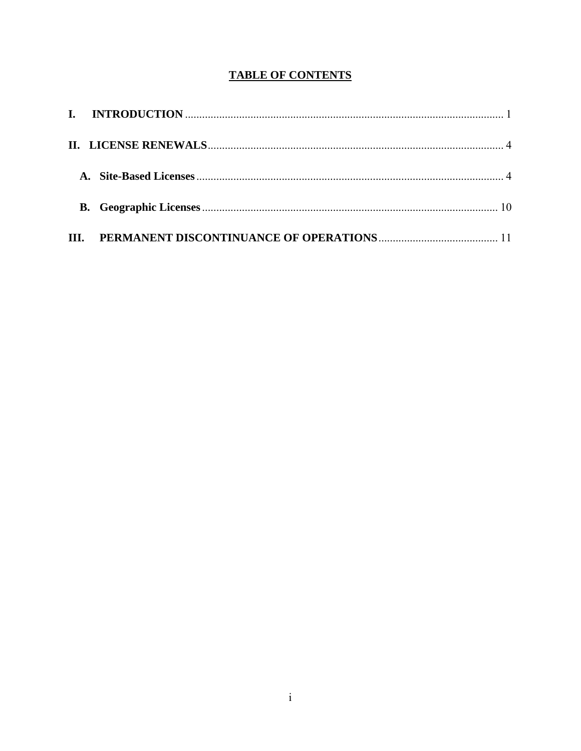# **TABLE OF CONTENTS**

| III. |  |
|------|--|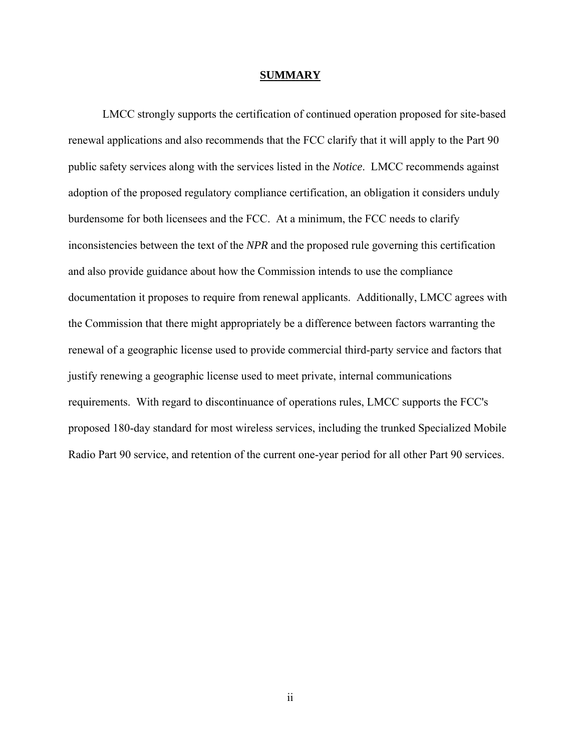#### **SUMMARY**

LMCC strongly supports the certification of continued operation proposed for site-based renewal applications and also recommends that the FCC clarify that it will apply to the Part 90 public safety services along with the services listed in the *Notice*. LMCC recommends against adoption of the proposed regulatory compliance certification, an obligation it considers unduly burdensome for both licensees and the FCC. At a minimum, the FCC needs to clarify inconsistencies between the text of the *NPR* and the proposed rule governing this certification and also provide guidance about how the Commission intends to use the compliance documentation it proposes to require from renewal applicants. Additionally, LMCC agrees with the Commission that there might appropriately be a difference between factors warranting the renewal of a geographic license used to provide commercial third-party service and factors that justify renewing a geographic license used to meet private, internal communications requirements. With regard to discontinuance of operations rules, LMCC supports the FCC's proposed 180-day standard for most wireless services, including the trunked Specialized Mobile Radio Part 90 service, and retention of the current one-year period for all other Part 90 services.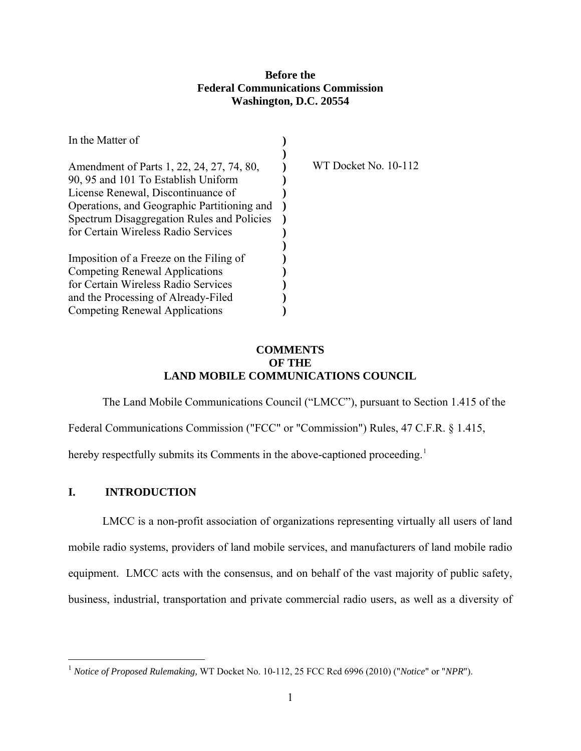## **Before the Federal Communications Commission Washington, D.C. 20554**

<span id="page-3-0"></span>

| In the Matter of                            |                      |
|---------------------------------------------|----------------------|
|                                             |                      |
| Amendment of Parts 1, 22, 24, 27, 74, 80,   | WT Docket No. 10-112 |
| 90, 95 and 101 To Establish Uniform         |                      |
| License Renewal, Discontinuance of          |                      |
| Operations, and Geographic Partitioning and |                      |
| Spectrum Disaggregation Rules and Policies  |                      |
| for Certain Wireless Radio Services         |                      |
|                                             |                      |
| Imposition of a Freeze on the Filing of     |                      |
| <b>Competing Renewal Applications</b>       |                      |
| for Certain Wireless Radio Services         |                      |
| and the Processing of Already-Filed         |                      |
| <b>Competing Renewal Applications</b>       |                      |

# **COMMENTS OF THE LAND MOBILE COMMUNICATIONS COUNCIL**

The Land Mobile Communications Council ("LMCC"), pursuant to Section 1.415 of the Federal Communications Commission ("FCC" or "Commission") Rules, 47 C.F.R. § 1.415, hereby respectfully submits its Comments in the above-captioned proceeding.<sup>[1](#page-3-1)</sup>

## **I. INTRODUCTION**

 $\overline{a}$ 

 LMCC is a non-profit association of organizations representing virtually all users of land mobile radio systems, providers of land mobile services, and manufacturers of land mobile radio equipment. LMCC acts with the consensus, and on behalf of the vast majority of public safety, business, industrial, transportation and private commercial radio users, as well as a diversity of

<span id="page-3-1"></span><sup>1</sup> *Notice of Proposed Rulemaking,* WT Docket No. 10-112, 25 FCC Rcd 6996 (2010) ("*Notice*" or "*NPR*").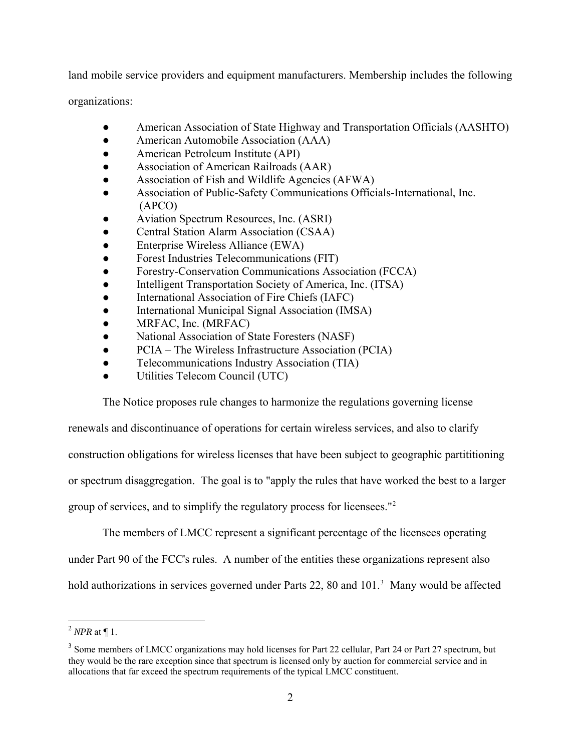land mobile service providers and equipment manufacturers. Membership includes the following

organizations:

- American Association of State Highway and Transportation Officials (AASHTO)
- American Automobile Association (AAA)
- American Petroleum Institute (API)
- Association of American Railroads (AAR)
- Association of Fish and Wildlife Agencies (AFWA)
- Association of Public-Safety Communications Officials-International, Inc. (APCO)
- Aviation Spectrum Resources, Inc. (ASRI)
- Central Station Alarm Association (CSAA)
- Enterprise Wireless Alliance (EWA)
- Forest Industries Telecommunications (FIT)
- Forestry-Conservation Communications Association (FCCA)
- Intelligent Transportation Society of America, Inc. (ITSA)
- International Association of Fire Chiefs (IAFC)
- International Municipal Signal Association (IMSA)
- MRFAC, Inc. (MRFAC)
- National Association of State Foresters (NASF)
- PCIA The Wireless Infrastructure Association (PCIA)
- Telecommunications Industry Association (TIA)
- Utilities Telecom Council (UTC)

The Notice proposes rule changes to harmonize the regulations governing license

renewals and discontinuance of operations for certain wireless services, and also to clarify construction obligations for wireless licenses that have been subject to geographic partititioning or spectrum disaggregation. The goal is to "apply the rules that have worked the best to a larger group of services, and to simplify the regulatory process for licensees."<sup>[2](#page-4-0)</sup>

The members of LMCC represent a significant percentage of the licensees operating

under Part 90 of the FCC's rules. A number of the entities these organizations represent also

hold authorizations in services governed under Parts 22, 80 and 101.<sup>[3](#page-4-1)</sup> Many would be affected

<span id="page-4-0"></span> $\overline{a}$  $^2$  *NPR* at  $\P$  1.

<span id="page-4-1"></span><sup>&</sup>lt;sup>3</sup> Some members of LMCC organizations may hold licenses for Part 22 cellular, Part 24 or Part 27 spectrum, but they would be the rare exception since that spectrum is licensed only by auction for commercial service and in allocations that far exceed the spectrum requirements of the typical LMCC constituent.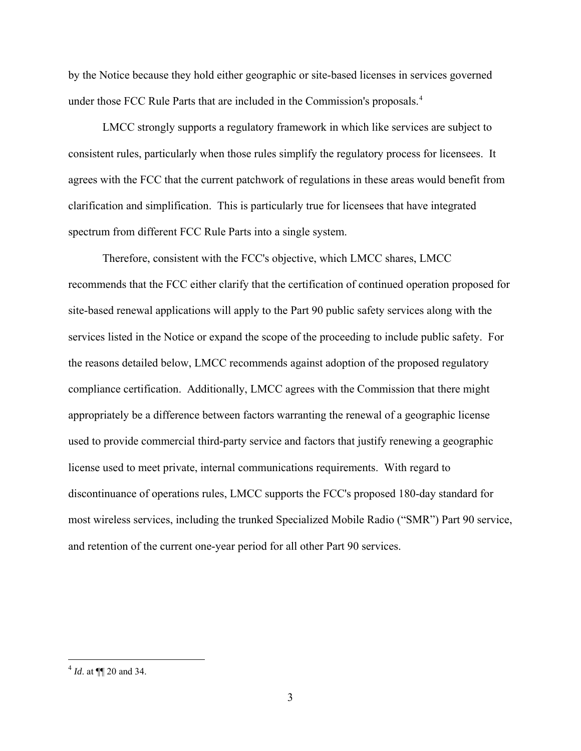by the Notice because they hold either geographic or site-based licenses in services governed under those FCC Rule Parts that are included in the Commission's proposals.<sup>[4](#page-5-0)</sup>

LMCC strongly supports a regulatory framework in which like services are subject to consistent rules, particularly when those rules simplify the regulatory process for licensees. It agrees with the FCC that the current patchwork of regulations in these areas would benefit from clarification and simplification. This is particularly true for licensees that have integrated spectrum from different FCC Rule Parts into a single system.

Therefore, consistent with the FCC's objective, which LMCC shares, LMCC recommends that the FCC either clarify that the certification of continued operation proposed for site-based renewal applications will apply to the Part 90 public safety services along with the services listed in the Notice or expand the scope of the proceeding to include public safety. For the reasons detailed below, LMCC recommends against adoption of the proposed regulatory compliance certification. Additionally, LMCC agrees with the Commission that there might appropriately be a difference between factors warranting the renewal of a geographic license used to provide commercial third-party service and factors that justify renewing a geographic license used to meet private, internal communications requirements. With regard to discontinuance of operations rules, LMCC supports the FCC's proposed 180-day standard for most wireless services, including the trunked Specialized Mobile Radio ("SMR") Part 90 service, and retention of the current one-year period for all other Part 90 services.

<span id="page-5-0"></span><sup>4</sup> *Id*. at ¶¶ 20 and 34.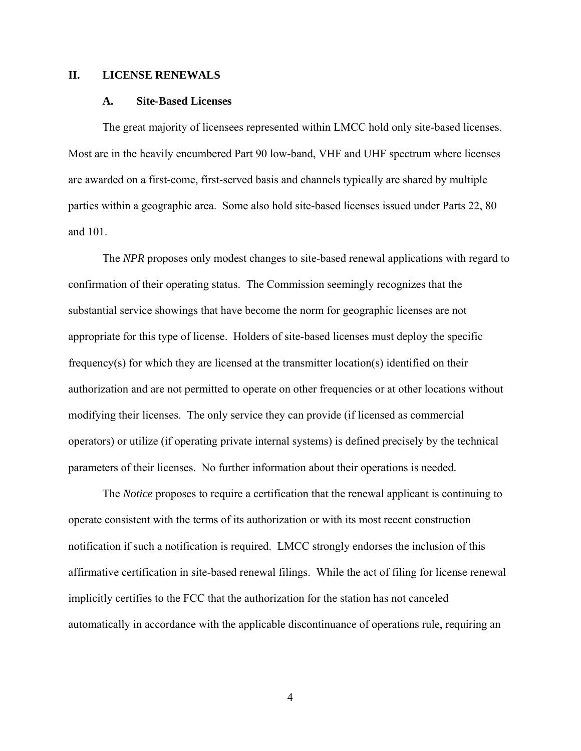#### <span id="page-6-0"></span>**II. LICENSE RENEWALS**

#### **A. Site-Based Licenses**

The great majority of licensees represented within LMCC hold only site-based licenses. Most are in the heavily encumbered Part 90 low-band, VHF and UHF spectrum where licenses are awarded on a first-come, first-served basis and channels typically are shared by multiple parties within a geographic area. Some also hold site-based licenses issued under Parts 22, 80 and 101.

The *NPR* proposes only modest changes to site-based renewal applications with regard to confirmation of their operating status. The Commission seemingly recognizes that the substantial service showings that have become the norm for geographic licenses are not appropriate for this type of license. Holders of site-based licenses must deploy the specific frequency(s) for which they are licensed at the transmitter location(s) identified on their authorization and are not permitted to operate on other frequencies or at other locations without modifying their licenses. The only service they can provide (if licensed as commercial operators) or utilize (if operating private internal systems) is defined precisely by the technical parameters of their licenses. No further information about their operations is needed.

The *Notice* proposes to require a certification that the renewal applicant is continuing to operate consistent with the terms of its authorization or with its most recent construction notification if such a notification is required. LMCC strongly endorses the inclusion of this affirmative certification in site-based renewal filings. While the act of filing for license renewal implicitly certifies to the FCC that the authorization for the station has not canceled automatically in accordance with the applicable discontinuance of operations rule, requiring an

4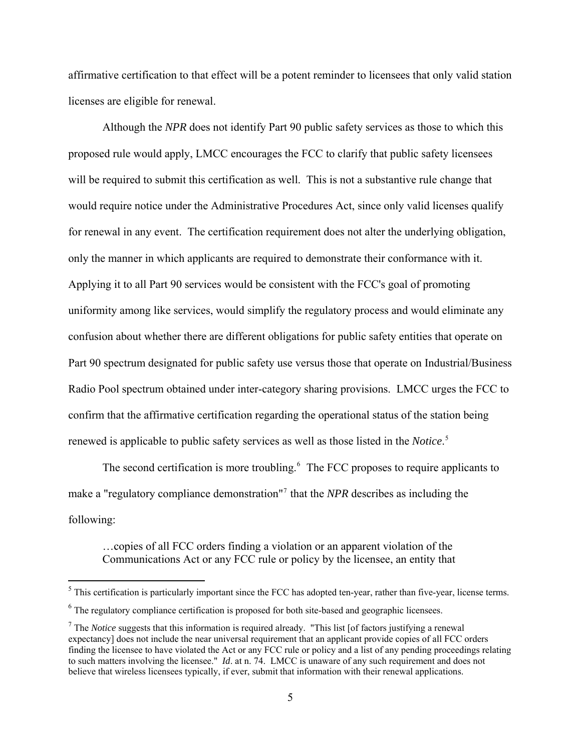affirmative certification to that effect will be a potent reminder to licensees that only valid station licenses are eligible for renewal.

Although the *NPR* does not identify Part 90 public safety services as those to which this proposed rule would apply, LMCC encourages the FCC to clarify that public safety licensees will be required to submit this certification as well. This is not a substantive rule change that would require notice under the Administrative Procedures Act, since only valid licenses qualify for renewal in any event. The certification requirement does not alter the underlying obligation, only the manner in which applicants are required to demonstrate their conformance with it. Applying it to all Part 90 services would be consistent with the FCC's goal of promoting uniformity among like services, would simplify the regulatory process and would eliminate any confusion about whether there are different obligations for public safety entities that operate on Part 90 spectrum designated for public safety use versus those that operate on Industrial/Business Radio Pool spectrum obtained under inter-category sharing provisions. LMCC urges the FCC to confirm that the affirmative certification regarding the operational status of the station being renewed is applicable to public safety services as well as those listed in the *Notice*. [5](#page-7-0)

The second certification is more troubling.<sup>[6](#page-7-1)</sup> The FCC proposes to require applicants to make a "regulatory compliance demonstration"[7](#page-7-2) that the *NPR* describes as including the following:

…copies of all FCC orders finding a violation or an apparent violation of the Communications Act or any FCC rule or policy by the licensee, an entity that

<span id="page-7-0"></span> $<sup>5</sup>$  This certification is particularly important since the FCC has adopted ten-year, rather than five-year, license terms.</sup>

<span id="page-7-1"></span> $6$  The regulatory compliance certification is proposed for both site-based and geographic licensees.

<span id="page-7-2"></span><sup>&</sup>lt;sup>7</sup> The *Notice* suggests that this information is required already. "This list [of factors justifying a renewal expectancy] does not include the near universal requirement that an applicant provide copies of all FCC orders finding the licensee to have violated the Act or any FCC rule or policy and a list of any pending proceedings relating to such matters involving the licensee." *Id.* at n. 74. LMCC is unaware of any such requirement and does not believe that wireless licensees typically, if ever, submit that information with their renewal applications.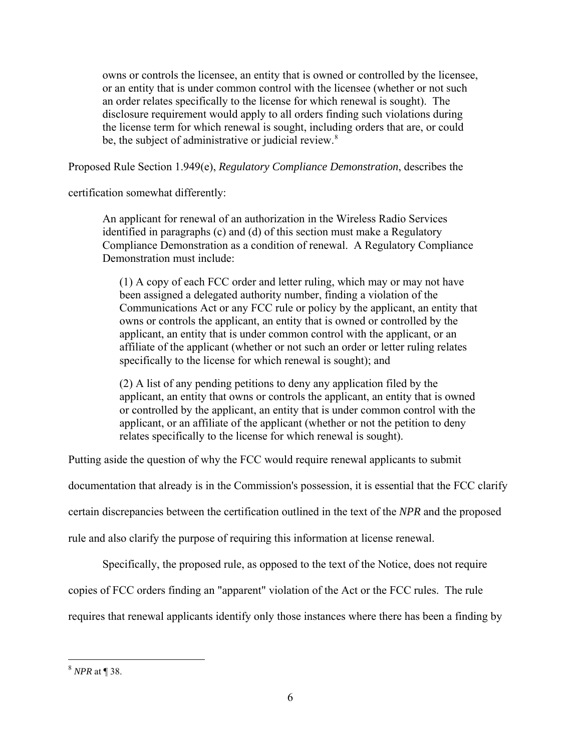owns or controls the licensee, an entity that is owned or controlled by the licensee, or an entity that is under common control with the licensee (whether or not such an order relates specifically to the license for which renewal is sought). The disclosure requirement would apply to all orders finding such violations during the license term for which renewal is sought, including orders that are, or could be, the subject of administrative or judicial review.<sup>[8](#page-8-0)</sup>

Proposed Rule Section 1.949(e), *Regulatory Compliance Demonstration*, describes the

certification somewhat differently:

An applicant for renewal of an authorization in the Wireless Radio Services identified in paragraphs (c) and (d) of this section must make a Regulatory Compliance Demonstration as a condition of renewal. A Regulatory Compliance Demonstration must include:

(1) A copy of each FCC order and letter ruling, which may or may not have been assigned a delegated authority number, finding a violation of the Communications Act or any FCC rule or policy by the applicant, an entity that owns or controls the applicant, an entity that is owned or controlled by the applicant, an entity that is under common control with the applicant, or an affiliate of the applicant (whether or not such an order or letter ruling relates specifically to the license for which renewal is sought); and

(2) A list of any pending petitions to deny any application filed by the applicant, an entity that owns or controls the applicant, an entity that is owned or controlled by the applicant, an entity that is under common control with the applicant, or an affiliate of the applicant (whether or not the petition to deny relates specifically to the license for which renewal is sought).

Putting aside the question of why the FCC would require renewal applicants to submit

documentation that already is in the Commission's possession, it is essential that the FCC clarify

certain discrepancies between the certification outlined in the text of the *NPR* and the proposed

rule and also clarify the purpose of requiring this information at license renewal.

Specifically, the proposed rule, as opposed to the text of the Notice, does not require

copies of FCC orders finding an "apparent" violation of the Act or the FCC rules. The rule

requires that renewal applicants identify only those instances where there has been a finding by

<span id="page-8-0"></span><sup>8</sup> *NPR* at ¶ 38.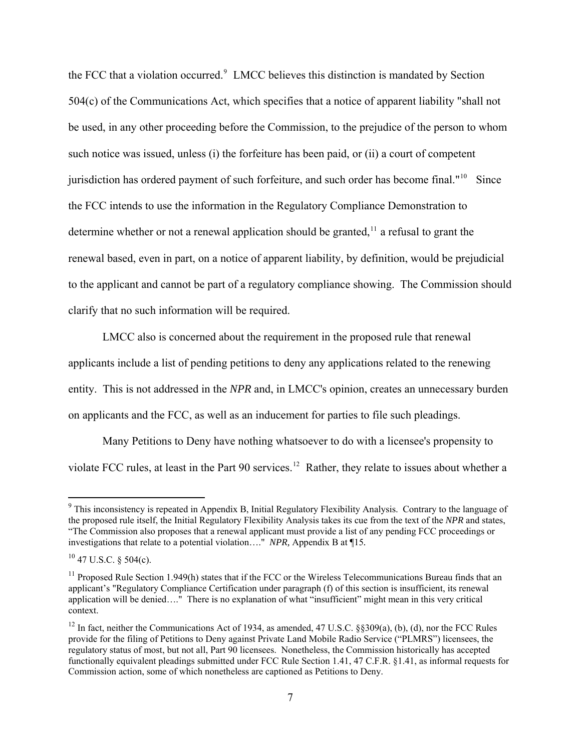the FCC that a violation occurred.<sup>[9](#page-9-0)</sup> LMCC believes this distinction is mandated by Section 504(c) of the Communications Act, which specifies that a notice of apparent liability "shall not be used, in any other proceeding before the Commission, to the prejudice of the person to whom such notice was issued, unless (i) the forfeiture has been paid, or (ii) a court of competent jurisdiction has ordered payment of such forfeiture, and such order has become final."<sup>[10](#page-9-1)</sup> Since the FCC intends to use the information in the Regulatory Compliance Demonstration to determine whether or not a renewal application should be granted,  $\frac{1}{1}$  a refusal to grant the renewal based, even in part, on a notice of apparent liability, by definition, would be prejudicial to the applicant and cannot be part of a regulatory compliance showing. The Commission should clarify that no such information will be required.

LMCC also is concerned about the requirement in the proposed rule that renewal applicants include a list of pending petitions to deny any applications related to the renewing entity. This is not addressed in the *NPR* and, in LMCC's opinion, creates an unnecessary burden on applicants and the FCC, as well as an inducement for parties to file such pleadings.

Many Petitions to Deny have nothing whatsoever to do with a licensee's propensity to violate FCC rules, at least in the Part 90 services.<sup>[12](#page-9-3)</sup> Rather, they relate to issues about whether a

<span id="page-9-0"></span><sup>&</sup>lt;sup>9</sup> This inconsistency is repeated in Appendix B, Initial Regulatory Flexibility Analysis. Contrary to the language of the proposed rule itself, the Initial Regulatory Flexibility Analysis takes its cue from the text of the *NPR* and states, "The Commission also proposes that a renewal applicant must provide a list of any pending FCC proceedings or investigations that relate to a potential violation…." *NPR,* Appendix B at ¶15*.*

<span id="page-9-1"></span> $10$  47 U.S.C. § 504(c).

<span id="page-9-2"></span> $11$  Proposed Rule Section 1.949(h) states that if the FCC or the Wireless Telecommunications Bureau finds that an applicant's "Regulatory Compliance Certification under paragraph (f) of this section is insufficient, its renewal application will be denied…." There is no explanation of what "insufficient" might mean in this very critical context.

<span id="page-9-3"></span><sup>&</sup>lt;sup>12</sup> In fact, neither the Communications Act of 1934, as amended, 47 U.S.C. §§309(a), (b), (d), nor the FCC Rules provide for the filing of Petitions to Deny against Private Land Mobile Radio Service ("PLMRS") licensees, the regulatory status of most, but not all, Part 90 licensees. Nonetheless, the Commission historically has accepted functionally equivalent pleadings submitted under FCC Rule Section 1.41, 47 C.F.R. §1.41, as informal requests for Commission action, some of which nonetheless are captioned as Petitions to Deny.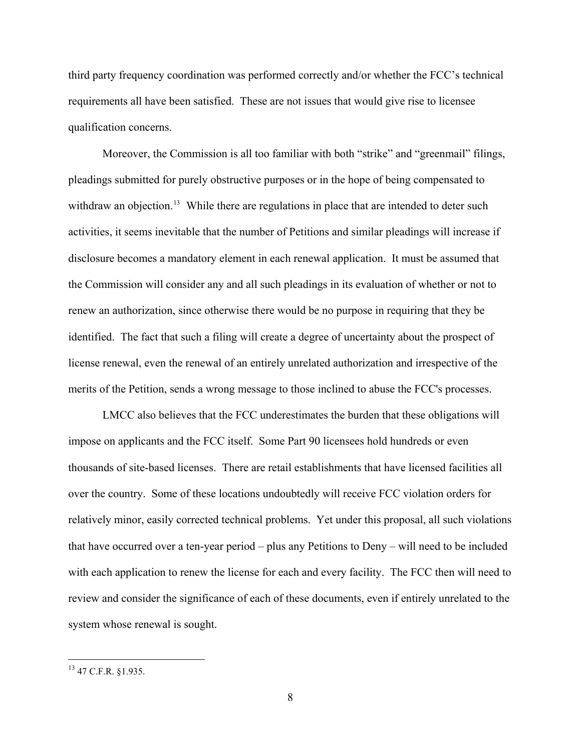third party frequency coordination was performed correctly and/or whether the FCC's technical requirements all have been satisfied. These are not issues that would give rise to licensee qualification concerns.

Moreover, the Commission is all too familiar with both "strike" and "greenmail" filings, pleadings submitted for purely obstructive purposes or in the hope of being compensated to withdraw an objection.<sup>[13](#page-10-0)</sup> While there are regulations in place that are intended to deter such activities, it seems inevitable that the number of Petitions and similar pleadings will increase if disclosure becomes a mandatory element in each renewal application. It must be assumed that the Commission will consider any and all such pleadings in its evaluation of whether or not to renew an authorization, since otherwise there would be no purpose in requiring that they be identified. The fact that such a filing will create a degree of uncertainty about the prospect of license renewal, even the renewal of an entirely unrelated authorization and irrespective of the merits of the Petition, sends a wrong message to those inclined to abuse the FCC's processes.

LMCC also believes that the FCC underestimates the burden that these obligations will impose on applicants and the FCC itself. Some Part 90 licensees hold hundreds or even thousands of site-based licenses. There are retail establishments that have licensed facilities all over the country. Some of these locations undoubtedly will receive FCC violation orders for relatively minor, easily corrected technical problems. Yet under this proposal, all such violations that have occurred over a ten-year period – plus any Petitions to Deny – will need to be included with each application to renew the license for each and every facility. The FCC then will need to review and consider the significance of each of these documents, even if entirely unrelated to the system whose renewal is sought.

<u>.</u>

<span id="page-10-0"></span><sup>13 47</sup> C.F.R. §1.935.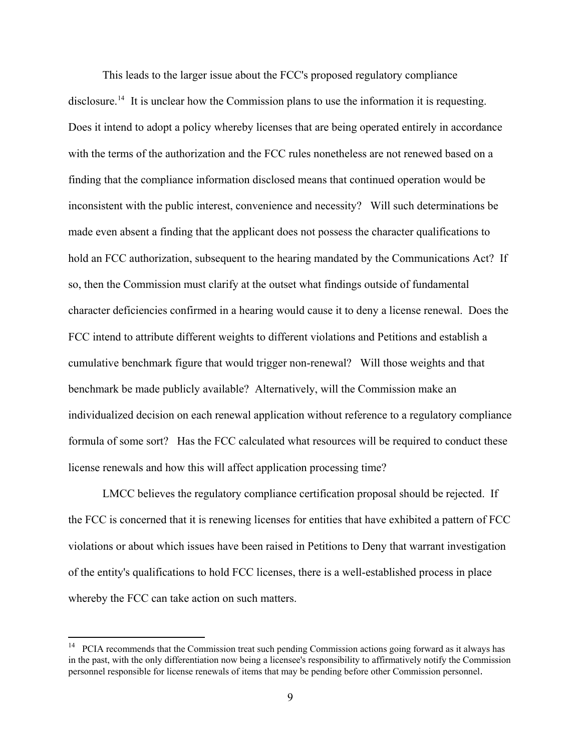This leads to the larger issue about the FCC's proposed regulatory compliance disclosure.<sup>[14](#page-11-0)</sup> It is unclear how the Commission plans to use the information it is requesting. Does it intend to adopt a policy whereby licenses that are being operated entirely in accordance with the terms of the authorization and the FCC rules nonetheless are not renewed based on a finding that the compliance information disclosed means that continued operation would be inconsistent with the public interest, convenience and necessity? Will such determinations be made even absent a finding that the applicant does not possess the character qualifications to hold an FCC authorization, subsequent to the hearing mandated by the Communications Act? If so, then the Commission must clarify at the outset what findings outside of fundamental character deficiencies confirmed in a hearing would cause it to deny a license renewal. Does the FCC intend to attribute different weights to different violations and Petitions and establish a cumulative benchmark figure that would trigger non-renewal? Will those weights and that benchmark be made publicly available? Alternatively, will the Commission make an individualized decision on each renewal application without reference to a regulatory compliance formula of some sort? Has the FCC calculated what resources will be required to conduct these license renewals and how this will affect application processing time?

LMCC believes the regulatory compliance certification proposal should be rejected. If the FCC is concerned that it is renewing licenses for entities that have exhibited a pattern of FCC violations or about which issues have been raised in Petitions to Deny that warrant investigation of the entity's qualifications to hold FCC licenses, there is a well-established process in place whereby the FCC can take action on such matters.

<span id="page-11-0"></span><sup>14</sup> PCIA recommends that the Commission treat such pending Commission actions going forward as it always has in the past, with the only differentiation now being a licensee's responsibility to affirmatively notify the Commission personnel responsible for license renewals of items that may be pending before other Commission personnel.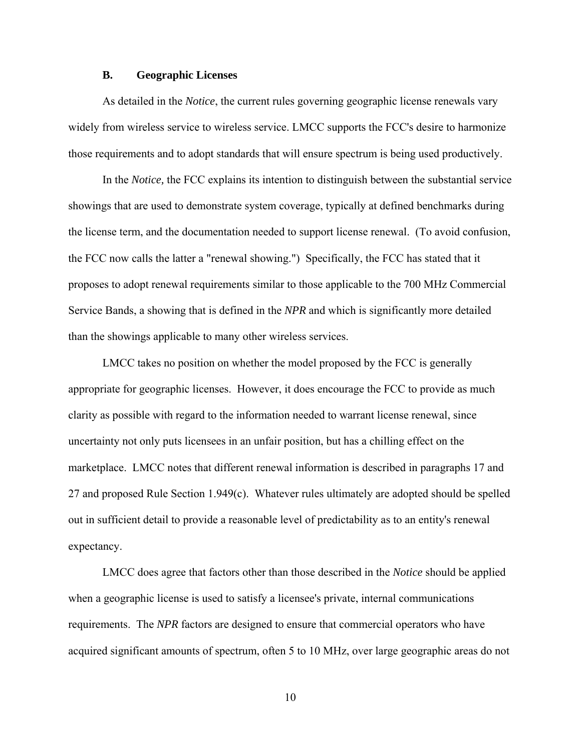#### **B. Geographic Licenses**

<span id="page-12-0"></span>As detailed in the *Notice*, the current rules governing geographic license renewals vary widely from wireless service to wireless service. LMCC supports the FCC's desire to harmonize those requirements and to adopt standards that will ensure spectrum is being used productively.

In the *Notice,* the FCC explains its intention to distinguish between the substantial service showings that are used to demonstrate system coverage, typically at defined benchmarks during the license term, and the documentation needed to support license renewal. (To avoid confusion, the FCC now calls the latter a "renewal showing.") Specifically, the FCC has stated that it proposes to adopt renewal requirements similar to those applicable to the 700 MHz Commercial Service Bands, a showing that is defined in the *NPR* and which is significantly more detailed than the showings applicable to many other wireless services.

LMCC takes no position on whether the model proposed by the FCC is generally appropriate for geographic licenses. However, it does encourage the FCC to provide as much clarity as possible with regard to the information needed to warrant license renewal, since uncertainty not only puts licensees in an unfair position, but has a chilling effect on the marketplace. LMCC notes that different renewal information is described in paragraphs 17 and 27 and proposed Rule Section 1.949(c). Whatever rules ultimately are adopted should be spelled out in sufficient detail to provide a reasonable level of predictability as to an entity's renewal expectancy.

LMCC does agree that factors other than those described in the *Notice* should be applied when a geographic license is used to satisfy a licensee's private, internal communications requirements. The *NPR* factors are designed to ensure that commercial operators who have acquired significant amounts of spectrum, often 5 to 10 MHz, over large geographic areas do not

10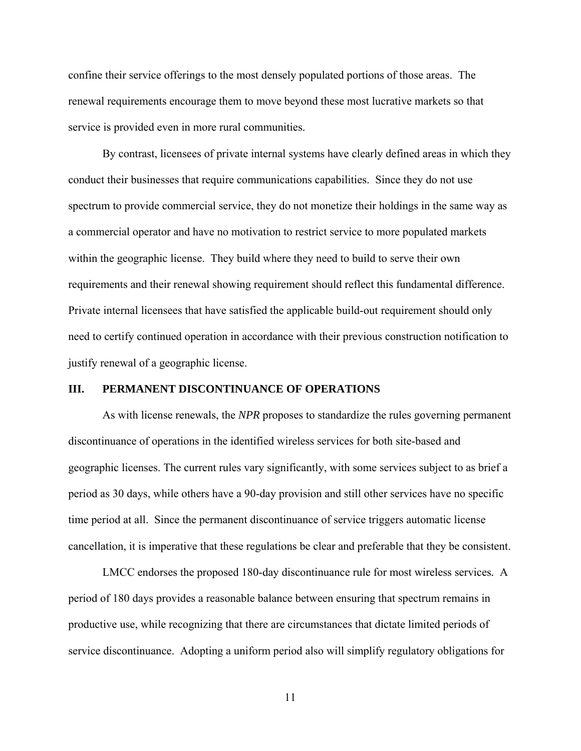<span id="page-13-0"></span>confine their service offerings to the most densely populated portions of those areas. The renewal requirements encourage them to move beyond these most lucrative markets so that service is provided even in more rural communities.

By contrast, licensees of private internal systems have clearly defined areas in which they conduct their businesses that require communications capabilities. Since they do not use spectrum to provide commercial service, they do not monetize their holdings in the same way as a commercial operator and have no motivation to restrict service to more populated markets within the geographic license. They build where they need to build to serve their own requirements and their renewal showing requirement should reflect this fundamental difference. Private internal licensees that have satisfied the applicable build-out requirement should only need to certify continued operation in accordance with their previous construction notification to justify renewal of a geographic license.

#### **III. PERMANENT DISCONTINUANCE OF OPERATIONS**

As with license renewals, the *NPR* proposes to standardize the rules governing permanent discontinuance of operations in the identified wireless services for both site-based and geographic licenses. The current rules vary significantly, with some services subject to as brief a period as 30 days, while others have a 90-day provision and still other services have no specific time period at all. Since the permanent discontinuance of service triggers automatic license cancellation, it is imperative that these regulations be clear and preferable that they be consistent.

LMCC endorses the proposed 180-day discontinuance rule for most wireless services*.* A period of 180 days provides a reasonable balance between ensuring that spectrum remains in productive use, while recognizing that there are circumstances that dictate limited periods of service discontinuance. Adopting a uniform period also will simplify regulatory obligations for

11